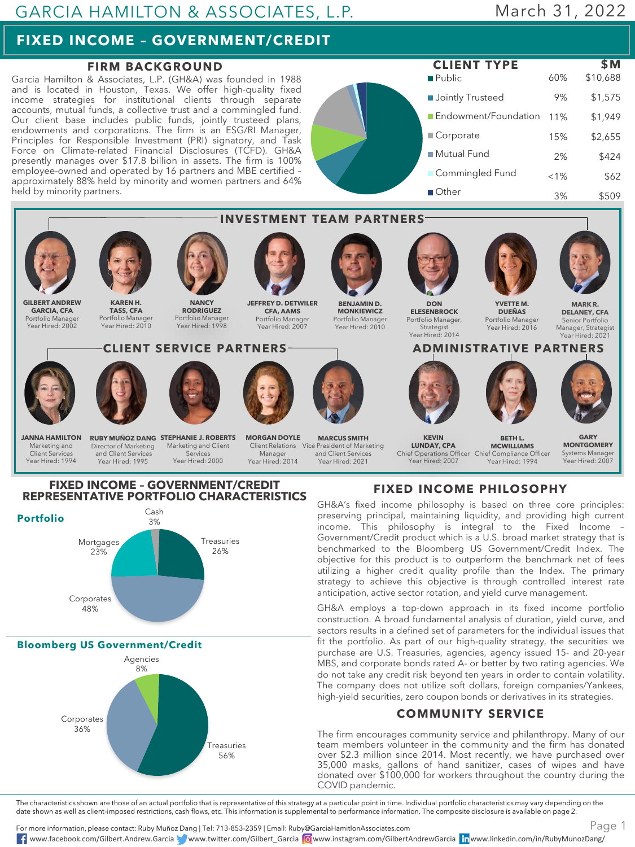## GARCIA HAMILTON & ASSOCIATES, L.P.

# March 31, 2022

# **FIXED INCOME – GOVERNMENT/CREDIT**

### **FIRM BACKGROUND**

Garcia Hamilton & Associates, L.P. (GH&A) was founded in 1988 and is located in Houston, Texas. We offer high-quality fixed income strategies for institutional clients through separate accounts, mutual funds, a collective trust and a commingled fund. Our client base includes public funds, jointly trusteed plans, endowments and corporations. The firm is an ESG/RI Manager, Principles for Responsible Investment (PRI) signatory, and Task Force on Climate-related Financial Disclosures (TCFD). GH&A presently manages over \$17.8 billion in assets. The firm is 100% employee-owned and operated by 16 partners and MBE certified – approximately 88% held by minority and women partners and 64% held by minority partners.





### **FIXED INCOME – GOVERNMENT/CREDIT REPRESENTATIVE PORTFOLIO CHARACTERISTICS**



**Bloomberg US Government/Credit**



**FIXED INCOME PHILOSOPHY**

GH&A's fixed income philosophy is based on three core principles: preserving principal, maintaining liquidity, and providing high current income. This philosophy is integral to the Fixed Income – Government/Credit product which is a U.S. broad market strategy that is benchmarked to the Bloomberg US Government/Credit Index. The objective for this product is to outperform the benchmark net of fees utilizing a higher credit quality profile than the Index. The primary strategy to achieve this objective is through controlled interest rate anticipation, active sector rotation, and yield curve management.

GH&A employs a top-down approach in its fixed income portfolio construction. A broad fundamental analysis of duration, yield curve, and sectors results in a defined set of parameters for the individual issues that fit the portfolio. As part of our high-quality strategy, the securities we purchase are U.S. Treasuries, agencies, agency issued 15- and 20-year MBS, and corporate bonds rated A- or better by two rating agencies. We do not take any credit risk beyond ten years in order to contain volatility. The company does not utilize soft dollars, foreign companies/Yankees, high-yield securities, zero coupon bonds or derivatives in its strategies.

### **COMMUNITY SERVICE**

The firm encourages community service and philanthropy. Many of our team members volunteer in the community and the firm has donated over \$2.3 million since 2014. Most recently, we have purchased over 35,000 masks, gallons of hand sanitizer, cases of wipes and have donated over \$100,000 for workers throughout the country during the COVID pandemic.

The characteristics shown are those of an actual portfolio that is representative of this strategy at a particular point in time. Individual portfolio characteristics may vary depending on the date shown as well as client-imposed restrictions, cash flows, etc. This information is supplemental to performance information. The composite disclosure is available on page 2.

For more information, please contact: Ruby Muñoz Dang | Tel: 713-853-2359 | Email: Ruby@GarciaHamitlonAssociates.com www.facebook.com/Gilbert.Andrew.Garcia www.twitter.com/Gilbert\_Garcia www.instagram.com/GilbertAndrewGarcia www.linkedin.com/in/RubyMunozDang/